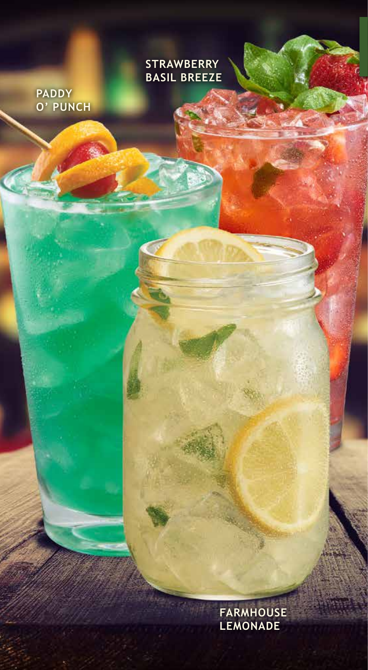**STRAWBERRY BASIL BREEZE**

**PADDY O' PUNCH** 

> **FARMHOUSE LEMONADE**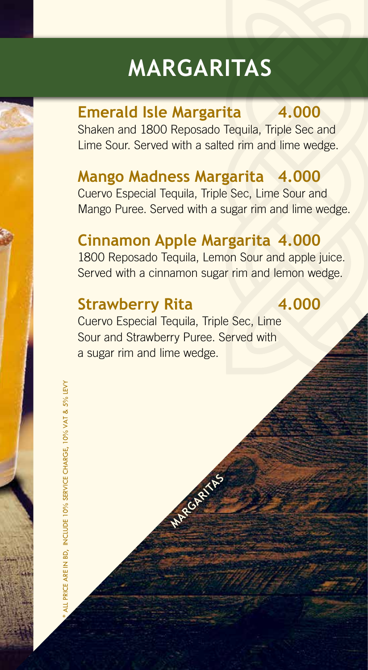## **MARGARITAS**

#### **Emerald Isle Margarita 4.000**

Shaken and 1800 Reposado Tequila, Triple Sec and Lime Sour. Served with a salted rim and lime wedge.

### **Mango Madness Margarita 4.000**

Cuervo Especial Tequila, Triple Sec, Lime Sour and Mango Puree. Served with a sugar rim and lime wedge.

### **Cinnamon Apple Margarita 4.000**

1800 Reposado Tequila, Lemon Sour and apple juice. Served with a cinnamon sugar rim and lemon wedge.

#### **Strawberry Rita 4.000**

Cuervo Especial Tequila, Triple Sec, Lime Sour and Strawberry Puree. Served with a sugar rim and lime wedge.

**MARGARITAS**

ALL PRICE ARE IN BD. INCLUDE 10% SERVICE CHARGE. 10% VAT & 5% LEVY \* ALL PRICE ARE IN BD, INCLUDE 10% SERVICE CHARGE, 10% VAT & 5% LEVY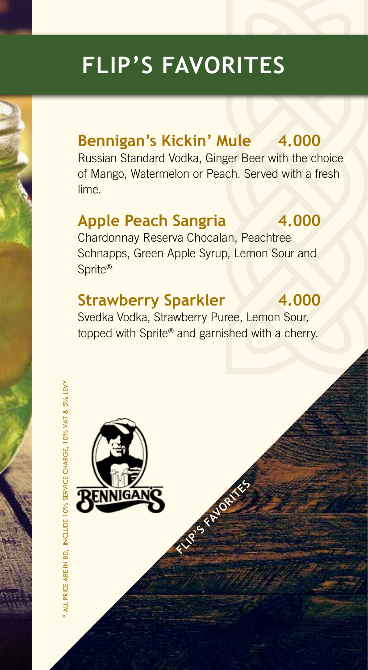## **FLIP'S FAVORITES**

## **Bennigan's Kickin' Mule 4.000**

Russian Standard Vodka, Ginger Beer with the choice of Mango, Watermelon or Peach. Served with a fresh lime.

#### **Apple Peach Sangria 4.000**

Chardonnay Reserva Chocalan, Peachtree Schnapps, Green Apple Syrup, Lemon Sour and Sprite®.

### **Strawberry Sparkler 4.000**

Svedka Vodka, Strawberry Puree, Lemon Sour, topped with Sprite® and garnished with a cherry.

**FLIP'S FAVORITES**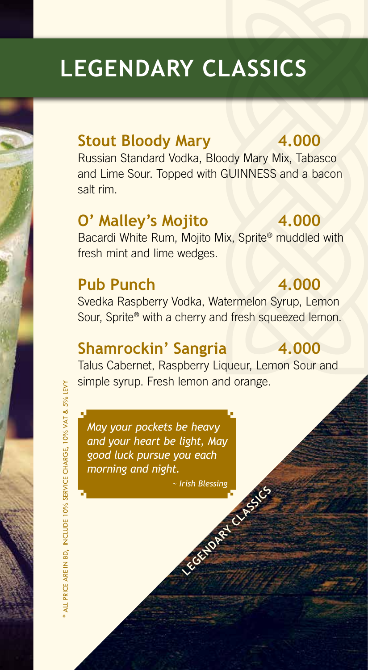## **LEGENDARY CLASSICS**

#### **Stout Bloody Mary 4.000**

Russian Standard Vodka, Bloody Mary Mix, Tabasco and Lime Sour. Topped with GUINNESS and a bacon salt rim.

### **O' Malley's Mojito 4.000**

Bacardi White Rum, Mojito Mix, Sprite ® muddled with fresh mint and lime wedges.

### **Pub Punch 4.000**

Svedka Raspberry Vodka, Watermelon Syrup, Lemon Sour, Sprite ® with a cherry and fresh squeezed lemon.

#### **Shamrockin' Sangria 4.000**

Talus Cabernet, Raspberry Liqueur, Lemon Sour and simple syrup. Fresh lemon and orange.

*May your pockets be heavy and your heart be light, May good luck pursue you each morning and night.*

*~ Irish Blessing* **Property CLASSICS (2)**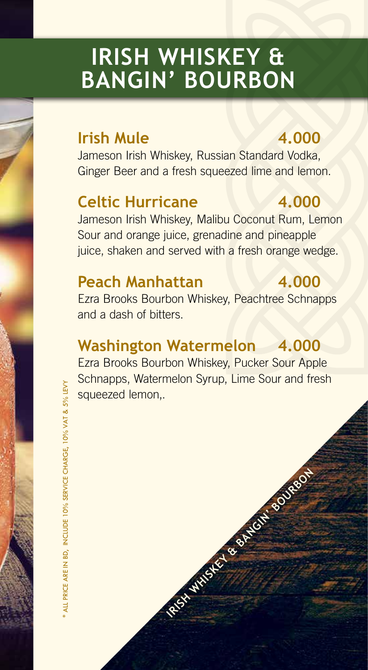## **IRISH WHISKEY & BANGIN' BOURBON**

#### **Irish Mule 4.000**

Jameson Irish Whiskey, Russian Standard Vodka, Ginger Beer and a fresh squeezed lime and lemon.

## **Celtic Hurricane 4.000**

Jameson Irish Whiskey, Malibu Coconut Rum, Lemon Sour and orange juice, grenadine and pineapple juice, shaken and served with a fresh orange wedge.

### **Peach Manhattan 4.000**

Ezra Brooks Bourbon Whiskey, Peachtree Schnapps and a dash of bitters.

### **Washington Watermelon 4.000**

Ezra Brooks Bourbon Whiskey, Pucker Sour Apple Schnapps, Watermelon Syrup, Lime Sour and fresh squeezed lemon,.

**IRISH WHISKEY & BANGHI BOURBON**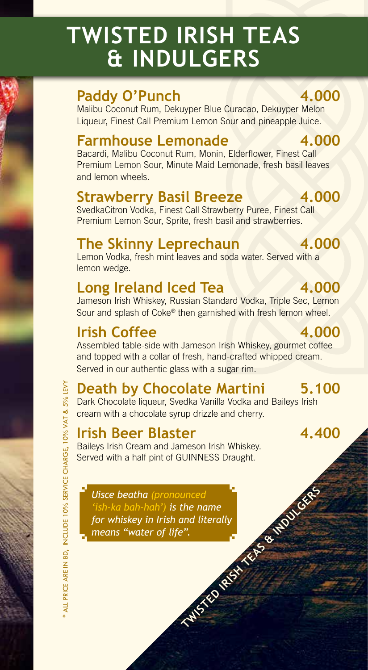## **TWISTED IRISH TEAS & INDULGERS**

### Paddy O'Punch 4.000

Malibu Coconut Rum, Dekuyper Blue Curacao, Dekuyper Melon Liqueur, Finest Call Premium Lemon Sour and pineapple Juice.

#### **Farmhouse Lemonade 4.000**

Bacardi, Malibu Coconut Rum, Monin, Elderflower, Finest Call Premium Lemon Sour, Minute Maid Lemonade, fresh basil leaves and lemon wheels.

#### **Strawberry Basil Breeze 4.000**

SvedkaCitron Vodka, Finest Call Strawberry Puree, Finest Call Premium Lemon Sour, Sprite, fresh basil and strawberries.

### **The Skinny Leprechaun** 4.000

Lemon Vodka, fresh mint leaves and soda water. Served with a lemon wedge.

### Long Ireland Iced Tea 4.000

Jameson Irish Whiskey, Russian Standard Vodka, Triple Sec, Lemon Sour and splash of Coke ® then garnished with fresh lemon wheel.

### **Irish Coffee 4.000**

Assembled table-side with Jameson Irish Whiskey, gourmet coffee and topped with a collar of fresh, hand-crafted whipped cream. Served in our authentic glass with a sugar rim.

### **Death by Chocolate Martini 5.100**

Dark Chocolate liqueur, Svedka Vanilla Vodka and Baileys Irish cream with a chocolate syrup drizzle and cherry.

#### **Irish Beer Blaster 4.400**

Baileys Irish Cream and Jameson Irish Whiskey. Served with a half pint of GUINNESS Draught.

**TWISTED IRISH TEAS & INDUCESS** *Uisce beatha (pronounced 'ish-ka bah-hah') is the name for whiskey in Irish and literally means "water of life".*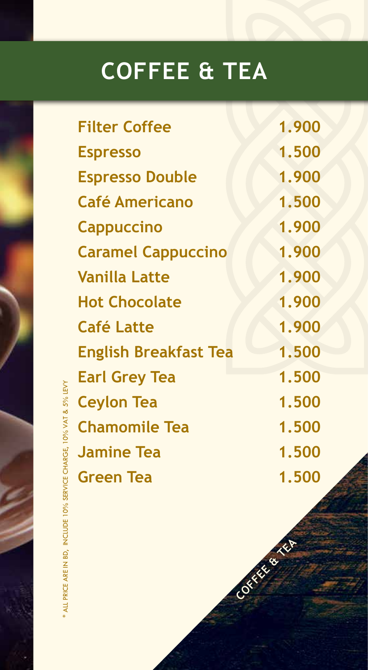## **COFFEE & TEA**

| <b>Filter Coffee</b>         | 1.900 |
|------------------------------|-------|
| <b>Espresso</b>              | 1.500 |
| <b>Espresso Double</b>       | 1.900 |
| <b>Café Americano</b>        | 1.500 |
| <b>Cappuccino</b>            | 1.900 |
| <b>Caramel Cappuccino</b>    | 1.900 |
| <b>Vanilla Latte</b>         | 1.900 |
| <b>Hot Chocolate</b>         | 1.900 |
| <b>Café Latte</b>            | 1.900 |
| <b>English Breakfast Tea</b> | 1.500 |
| <b>Earl Grey Tea</b>         | 1.500 |
| <b>Ceylon Tea</b>            | 1.500 |
| <b>Chamomile Tea</b>         | 1.500 |
| <b>Jamine Tea</b>            | 1.500 |
| <b>Green Tea</b>             | 1.500 |
|                              |       |

**COFFEE & TEA**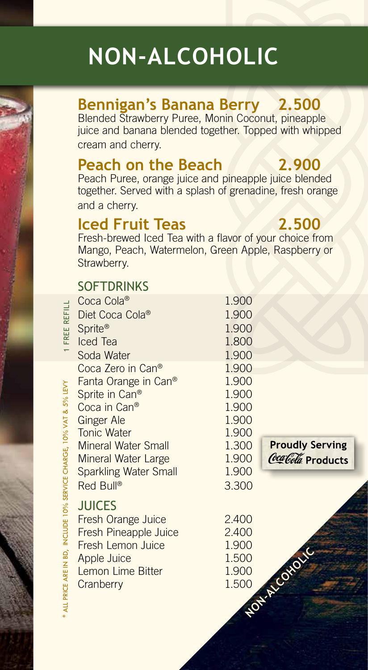## **NON-ALCOHOLIC**

### **Bennigan's Banana Berry 2.500**

Blended Strawberry Puree, Monin Coconut, pineapple juice and banana blended together. Topped with whipped cream and cherry.

#### **Peach on the Beach 2.900**

Peach Puree, orange juice and pineapple juice blended together. Served with a splash of grenadine, fresh orange and a cherry.

#### **Iced Fruit Teas 2.500**

Fresh-brewed Iced Tea with a flavor of your choice from Mango, Peach, Watermelon, Green Apple, Raspberry or Strawberry.

#### **SOFTDRINKS**

| 1 FREE REFILL                                                      | Coca Cola®<br>Diet Coca Cola®<br>Sprite <sup>®</sup><br>Iced Tea<br>Soda Water                                                                                                                                                              | 1.900<br>1.900<br>1.900<br>1.800<br>1.900                                              |                                              |
|--------------------------------------------------------------------|---------------------------------------------------------------------------------------------------------------------------------------------------------------------------------------------------------------------------------------------|----------------------------------------------------------------------------------------|----------------------------------------------|
|                                                                    | Coca Zero in Can®<br>Fanta Orange in Can®<br>Sprite in Can <sup>®</sup><br>Coca in Can®<br><b>Ginger Ale</b><br><b>Tonic Water</b><br><b>Mineral Water Small</b><br><b>Mineral Water Large</b><br><b>Sparkling Water Small</b><br>Red Bull® | 1.900<br>1.900<br>1.900<br>1.900<br>1.900<br>1.900<br>1.300<br>1.900<br>1.900<br>3.300 | <b>Proudly Serving</b><br>Coca Cola Products |
| ALL PRICE ARE IN BD, INCLUDE 10% SERVICE CHARGE, 10% VAT & 3% LEVY | <b>JUICES</b><br><b>Fresh Orange Juice</b><br>Fresh Pineapple Juice<br><b>Fresh Lemon Juice</b><br>Apple Juice<br>Lemon Lime Bitter<br>Cranberry                                                                                            | 2.400<br>2.400<br>1.900<br>1.500<br>1.900<br>1.500                                     | NOTE A CONDIC                                |

**COLO DEL**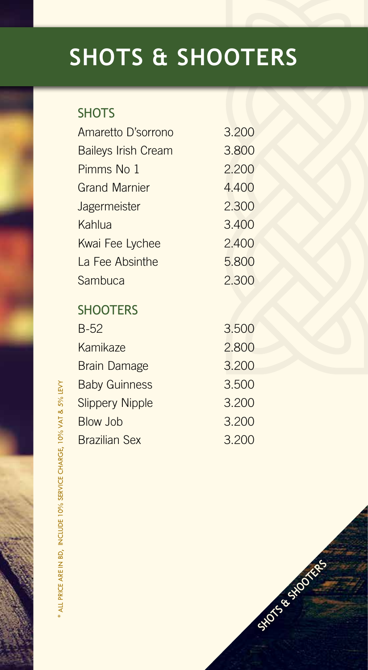# **SHOTS & SHOOTERS**

#### **SHOTS**

| Amaretto D'sorrono         | 3.200 |
|----------------------------|-------|
| <b>Baileys Irish Cream</b> | 3.800 |
| Pimms No 1                 | 2.200 |
| <b>Grand Marnier</b>       | 4.400 |
| <b>Jagermeister</b>        | 2.300 |
| Kahlua                     | 3.400 |
| Kwai Fee Lychee            | 2.400 |
| La Fee Absinthe            | 5.800 |
| Sambuca                    | 2.300 |
|                            |       |

#### **SHOOTERS**

| $B-52$                 | 3.500 |
|------------------------|-------|
| <b>Kamikaze</b>        | 2.800 |
| <b>Brain Damage</b>    | 3.200 |
| <b>Baby Guinness</b>   | 3.500 |
| <b>Slippery Nipple</b> | 3.200 |
| <b>Blow Job</b>        | 3.200 |
| <b>Brazilian Sex</b>   | 3.200 |

SHOTS & SHOOTERS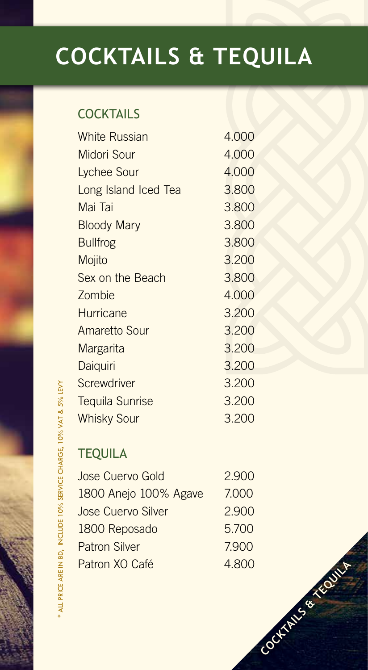## **COCKTAILS & TEQUILA**

#### **COCKTAILS**

| <b>White Russian</b>   | 4.000 |
|------------------------|-------|
| <b>Midori Sour</b>     | 4.000 |
| Lychee Sour            | 4.000 |
| Long Island Iced Tea   | 3.800 |
| Mai Tai                | 3.800 |
| <b>Bloody Mary</b>     | 3.800 |
| <b>Bullfrog</b>        | 3.800 |
| Mojito                 | 3.200 |
| Sex on the Beach       | 3.800 |
| Zombie                 | 4.000 |
| <b>Hurricane</b>       | 3.200 |
| <b>Amaretto Sour</b>   | 3.200 |
| <b>Margarita</b>       | 3.200 |
| Daiquiri               | 3.200 |
| Screwdriver            | 3.200 |
| <b>Tequila Sunrise</b> | 3.200 |
| <b>Whisky Sour</b>     | 3.200 |

#### **TEQUILA**

| Jose Cuervo Gold          | 2.900 |
|---------------------------|-------|
| 1800 Anejo 100% Agave     | 7.000 |
| <b>Jose Cuervo Silver</b> | 2.900 |
| 1800 Reposado             | 5.700 |
| <b>Patron Silver</b>      | 7.900 |
| Patron XO Café            | 4.800 |

**COCKTAINS & TEQUILA** 

\* ALL PRICE ARE IN BD, INCLUDE 10% SERVICE CHARGE, 10% VAT & 5% LEVY \* ALL PRICE ARE IN BD, INCLUDE 10% SERVICE CHARGE, 10% VAT & 5% LEVY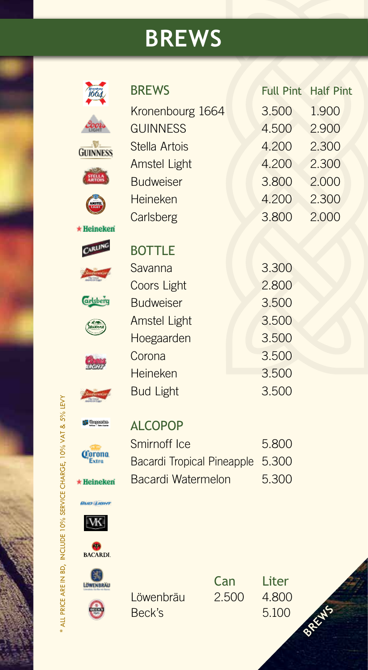## **BREWS**

| <i>1664</i>                   | <b>BREWS</b>                      |       | <b>Full Pint</b> | <b>Half Pint</b> |
|-------------------------------|-----------------------------------|-------|------------------|------------------|
|                               | Kronenbourg 1664                  |       | 3.500            | 1.900            |
|                               | <b>GUINNESS</b>                   |       | 4.500            | 2.900            |
| <b>GUINNESS</b>               | Stella Artois                     |       | 4.200            | 2.300            |
|                               | <b>Amstel Light</b>               |       | 4.200            | 2.300            |
|                               | <b>Budweiser</b>                  |       | 3.800            | 2.000            |
|                               | Heineken                          |       | 4.200            | 2.300            |
|                               | Carlsberg                         |       | 3.800            | 2.000            |
| <b>Heineken</b>               |                                   |       |                  |                  |
| CARLING                       | <b>BOTTLE</b>                     |       |                  |                  |
|                               | Savanna                           |       | 3.300            |                  |
|                               | <b>Coors Light</b>                |       | 2.800            |                  |
| <b><i><u>arlsberg</u></i></b> | <b>Budweiser</b>                  |       | 3.500            |                  |
|                               | <b>Amstel Light</b>               |       | 3.500            |                  |
|                               | Hoegaarden                        |       | 3.500            |                  |
|                               | Corona                            |       | 3.500            |                  |
|                               | Heineken                          |       | 3.500            |                  |
|                               | <b>Bud Light</b>                  |       | 3.500            |                  |
| <b>Hornanden</b>              | <b>ALCOPOP</b>                    |       |                  |                  |
|                               | Smirnoff Ice                      |       | 5.800            |                  |
|                               | <b>Bacardi Tropical Pineapple</b> |       | 5.300            |                  |
|                               | Bacardi Watermelon                |       | 5.300            |                  |
| $\star$ Heineken              |                                   |       |                  |                  |
| BUCE LICENT                   |                                   |       |                  |                  |
|                               |                                   |       |                  |                  |
| <b>BACARDI</b> .              |                                   |       |                  |                  |
|                               |                                   |       |                  |                  |
| LOWENBRAU                     |                                   | Can   | Liter            |                  |
|                               | Löwenbräu                         | 2.500 | 4.800            |                  |
|                               | Beck's                            |       | 5.100            | BREAKS           |
|                               |                                   |       |                  |                  |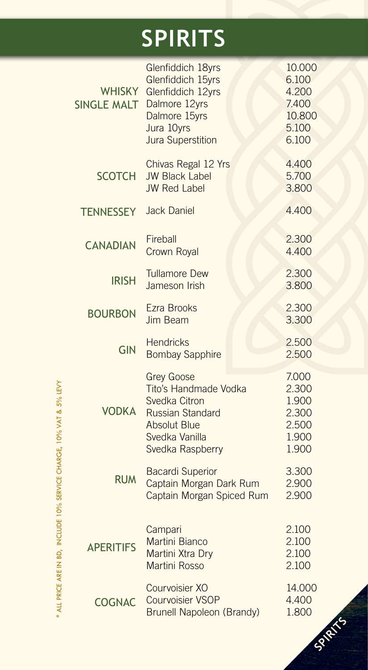## **SPIRITS**

| <b>WHISKY</b><br><b>SINGLE MALT</b> | Glenfiddich 18yrs<br>Glenfiddich 15yrs<br>Glenfiddich 12yrs<br>Dalmore 12yrs<br>Dalmore 15yrs<br>Jura 10yrs<br><b>Jura Superstition</b>                                                                                                |  | 10.000<br>6.100<br>4.200<br>7.400<br>10.800<br>5.100<br>6.100 |
|-------------------------------------|----------------------------------------------------------------------------------------------------------------------------------------------------------------------------------------------------------------------------------------|--|---------------------------------------------------------------|
| <b>SCOTCH</b>                       | Chivas Regal 12 Yrs<br><b>JW Black Label</b><br><b>JW Red Label</b>                                                                                                                                                                    |  | 4.400<br>5.700<br>3.800                                       |
| <b>TENNESSEY</b>                    | <b>Jack Daniel</b>                                                                                                                                                                                                                     |  | 4.400                                                         |
| <b>CANADIAN</b>                     | Fireball<br>Crown Royal                                                                                                                                                                                                                |  | 2.300<br>4.400                                                |
| <b>IRISH</b>                        | <b>Tullamore Dew</b><br>Jameson Irish                                                                                                                                                                                                  |  | 2.300<br>3.800                                                |
| <b>BOURBON</b>                      | <b>Ezra Brooks</b><br><b>Jim Beam</b>                                                                                                                                                                                                  |  | 2.300<br>3.300                                                |
| <b>GIN</b>                          | <b>Hendricks</b><br><b>Bombay Sapphire</b>                                                                                                                                                                                             |  | 2.500<br>2.500                                                |
| <b>VODKA</b>                        | <b>Grey Goose</b><br>Tito's Handmade Vodka<br>Svedka Citron<br><b>Russian Standard</b><br><b>Absolut Blue</b><br>Svedka Vanilla<br>Svedka Raspberry<br><b>Bacardi Superior</b><br>Captain Morgan Dark Rum<br>Captain Morgan Spiced Rum |  | 7.000<br>2.300<br>1.900<br>2.300<br>2.500<br>1.900<br>1.900   |
| <b>RUM</b>                          |                                                                                                                                                                                                                                        |  | 3.300<br>2.900<br>2.900                                       |
| <b>APERITIFS</b>                    | Campari<br><b>Martini Bianco</b><br>Martini Xtra Dry<br><b>Martini Rosso</b>                                                                                                                                                           |  | 2.100<br>2.100<br>2.100<br>2.100                              |
| <b>COGNAC</b>                       | Courvoisier XO<br><b>Courvoisier VSOP</b><br><b>Brunell Napoleon (Brandy)</b>                                                                                                                                                          |  | 14.000<br>4.400<br>1.800                                      |

\* ALL PRICE ARE IN BD, INCLUDE 10% SERVICE CHARGE, 10% VAT & 5% LEVY \* ALL PRICE ARE IN BD, INCLUDE 10% SERVICE CHARGE, 10% VAT & 5% LEVY

**SPIRITS**